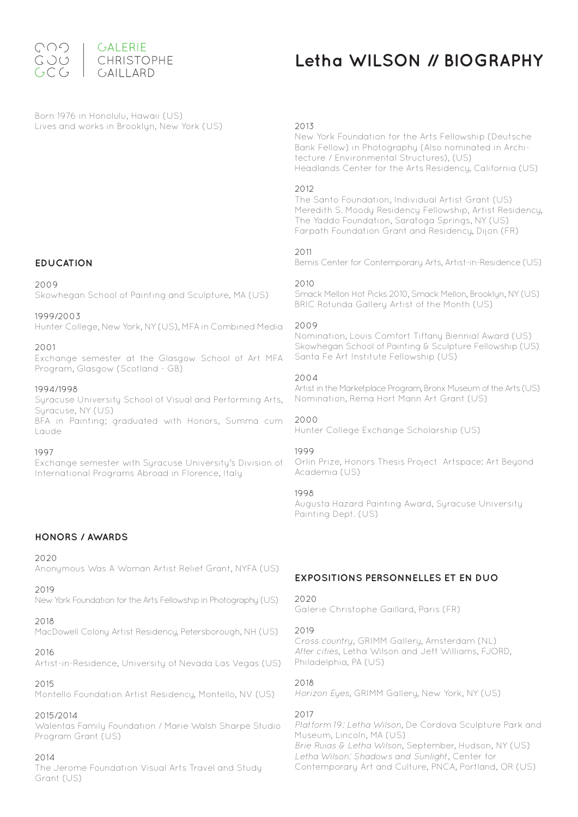

# **Letha WILSON // BIOGRAPHY**

Born 1976 in Honolulu, Hawaii (US) Lives and works in Brooklyn, New York (US)

# **EDUCATION**

2009

Skowhegan School of Painting and Sculpture, MA (US)

#### 1999/2003

Hunter College, New York, NY (US), MFA in Combined Media

## 2001

Exchange semester at the Glasgow School of Art MFA Program, Glasgow (Scotland - GB)

#### 1994/1998

Syracuse University School of Visual and Performing Arts, Suracuse, NY (US)

BFA in Painting; graduated with Honors, Summa cum Laude

#### 1997

Exchange semester with Syracuse University's Division of International Programs Abroad in Florence, Italy

## **HONORS / AWARDS**

#### 2020

Anonymous Was A Woman Artist Relief Grant, NYFA (US)

#### 2019

New York Foundation for the Arts Fellowship in Photography (US)

## 2018

MacDowell Colony Artist Residency, Petersborough, NH (US)

## 2016

Artist-in-Residence, University of Nevada Las Vegas (US)

## 2015

Montello Foundation Artist Residency, Montello, NV (US)

## 2015/2014

Walentas Family Foundation / Marie Walsh Sharpe Studio Program Grant (US)

## 2014

The Jerome Foundation Visual Arts Travel and Study Grant (US)

#### 2013

New York Foundation for the Arts Fellowship (Deutsche Bank Fellow) in Photography (Also nominated in Architecture / Environmental Structures), (US) Headlands Center for the Arts Residency, California (US)

## 2012

The Santo Foundation, Individual Artist Grant (US) Meredith S. Moody Residency Fellowship, Artist Residency, The Yaddo Foundation, Saratoga Springs, NY (US) Farpath Foundation Grant and Residency, Dijon (FR)

## 2011

Bemis Center for Contemporary Arts, Artist-in-Residence (US)

#### 2010

Smack Mellon Hot Picks 2010, Smack Mellon, Brooklyn, NY (US) BRIC Rotunda Gallery Artist of the Month (US)

#### 2009

Nomination, Louis Comfort Tiffany Biennial Award (US) Skowhegan School of Painting & Sculpture Fellowship (US) Santa Fe Art Institute Fellowship (US)

#### 2004

Artist in the Marketplace Program, Bronx Museum of the Arts (US) Nomination, Rema Hort Mann Art Grant (US)

2000

Hunter College Exchange Scholarship (US)

## 1999

Orlin Prize, Honors Thesis Project Artspace: Art Beyond Academia (US)

## 1998

Augusta Hazard Painting Award, Syracuse University Painting Dept. (US)

## **EXPOSITIONS PERSONNELLES ET EN DUO**

#### 2020

Galerie Christophe Gaillard, Paris (FR)

#### 2019

Cross country, GRIMM Gallery, Amsterdam (NL) After cities, Letha Wilson and Jeff Williams, FJORD, Philadelphia, PA (US)

## 2018

Horizon Eyes, GRIMM Gallery, New York, NY (US)

## 2017

Platform 19: Letha Wilson, De Cordova Sculpture Park and Museum, Lincoln, MA (US) Brie Ruias & Letha Wilson, September, Hudson, NY (US) Letha Wilson: Shadows and Sunlight, Center for Contemporary Art and Culture, PNCA, Portland, OR (US)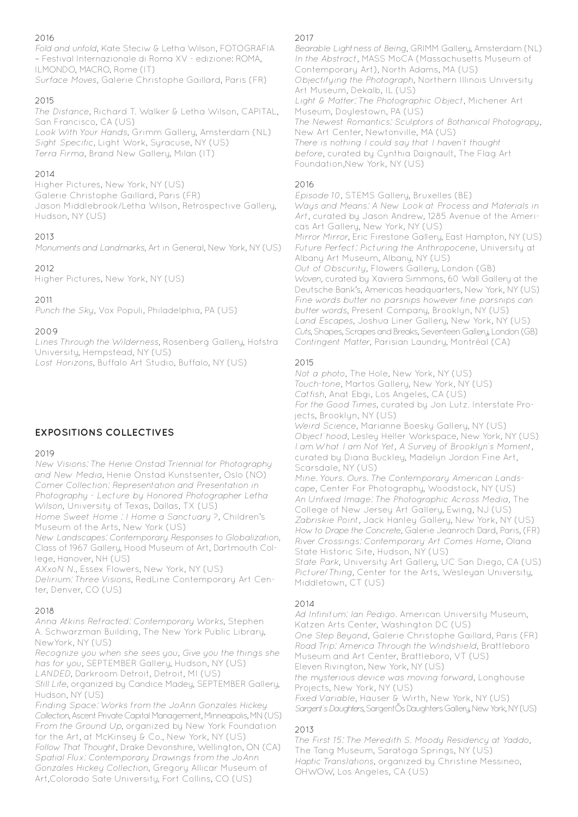## 2016

Fold and unfold, Kate Steciw & Letha Wilson, FOTOGRAFIA – Festival Internazionale di Roma XV - edizione: ROMA, ILMONDO, MACRO, Rome (IT) Surface Moves, Galerie Christophe Gaillard, Paris (FR)

## 2015

The Distance, Richard T. Walker & Letha Wilson, CAPITAL, San Francisco, CA (US) Look With Your Hands, Grimm Gallery, Amsterdam (NL) Sight Specific, Light Work, Syracuse, NY (US) Terra Firma, Brand New Gallery, Milan (IT)

## 2014

Higher Pictures, New York, NY (US) Galerie Christophe Gaillard, Paris (FR) Jason Middlebrook/Letha Wilson, Retrospective Gallery, Hudson, NY (US)

# 2013

Monuments and Landmarks, Art in General, New York, NY (US)

# 2012

Higher Pictures, New York, NY (US)

2011

Punch the Sky, Vox Populi, Philadelphia, PA (US)

## 2009

Lines Through the Wilderness, Rosenberg Gallery, Hofstra University, Hempstead, NY (US) Lost Horizons, Buffalo Art Studio, Buffalo, NY (US)

# **EXPOSITIONS COLLECTIVES**

## 2019

New Visions: The Henie Onstad Triennial for Photography and New Media, Henie Onstad Kunstsenter, Oslo (NO) Comer Collection: Representation and Presentation in Photography - Lecture by Honored Photographer Letha Wilson, University of Texas, Dallas, TX (US)

Home Sweet Home : I Home a Sanctuary ?, Children's Museum of the Arts, New York (US)

New Landscapes: Contemporary Responses to Globalization, Class of 1967 Gallery, Hood Museum of Art, Dartmouth College, Hanover, NH (US)

AXxoN N., Essex Flowers, New York, NY (US)

Delirium: Three Visions, RedLine Contemporary Art Center, Denver, CO (US)

## 2018

Anna Atkins Refracted: Contemporary Works, Stephen A. Schwarzman Building, The New York Public Library, NewYork, NY (US)

Recognize you when she sees you, Give you the things she has for you, SEPTEMBER Gallery, Hudson, NY (US) LANDED, Darkroom Detroit, Detroit, MI (US)

Still Life, organized by Candice Madey, SEPTEMBER Gallery, Hudson, NY (US)

Finding Space: Works from the JoAnn Gonzales Hickey Collection, Ascent Private Capital Management, Minneapolis, MN (US) From the Ground Up, organized by New York Foundation for the Art, at McKinsey & Co., New York, NY (US) Follow That Thought, Drake Devonshire, Wellington, ON (CA) Spatial Flux: Contemporary Drawings from the JoAnn Gonzales Hickey Collection, Gregory Allicar Museum of Art,Colorado Sate University, Fort Collins, CO (US)

## 2017

Bearable Lightness of Being, GRIMM Gallery, Amsterdam (NL) In the Abstract, MASS MoCA (Massachusetts Museum of Contemporary Art), North Adams, MA (US) Objectifying the Photograph, Northern Illinois University Art Museum, Dekalb, IL (US) Light & Matter: The Photographic Object, Michener Art Museum, Doylestown, PA (US) The Newest Romantics: Sculptors of Bothanical Photograpy, New Art Center, Newtonville, MA (US) There is nothing I could say that I haven't thought before, curated by Cynthia Daignault, The Flag Art Foundation,New York, NY (US)

## 2016

Episode 10, STEMS Gallery, Bruxelles (BE) Ways and Means: A New Look at Process and Materials in Art, curated by Jason Andrew, 1285 Avenue of the Americas Art Gallery, New York, NY (US) Mirror Mirror, Eric Firestone Gallery, East Hampton, NY (US) Future Perfect: Picturing the Anthropocene, University at Albany Art Museum, Albany, NY (US) Out of Obscurity, Flowers Gallery, London (GB) Woven, curated by Xaviera Simmons, 60 Wall Gallery at the Deutsche Bank's, Americas headquarters, New York, NY (US) Fine words butter no parsnips however fine parsnips can butter words, Present Company, Brooklyn, NY (US) Land Escapes, Joshua Liner Gallery, New York, NY (US) Cuts, Shapes, Scrapes and Breaks, Seventeen Gallery, London (GB) Contingent Matter, Parisian Laundry, Montréal (CA)

## 2015

Not a photo, The Hole, New York, NY (US) Touch-tone, Martos Gallery, New York, NY (US) Catfish, Anat Ebgi, Los Angeles, CA (US) For the Good Times, curated by Jon Lutz. Interstate Projects, Brooklyn, NY (US) Weird Science, Marianne Boesky Gallery, NY (US) Object'hood, Lesley Heller Workspace, New York, NY (US) I am What I am Not Yet, A Survey of Brooklyn's Moment, curated by Diana Buckley, Madelyn Jordon Fine Art, Scarsdale, NY (US) Mine. Yours. Ours. The Contemporary American Lands-

cape, Center For Photography, Woodstock, NY (US) An Unfixed Image: The Photographic Across Media, The College of New Jersey Art Gallery, Ewing, NJ (US) Zabriskie Point, Jack Hanley Gallery, New York, NY (US) How to Drape the Concrete, Galerie Jeanroch Dard, Paris, (FR) River Crossings: Contemporary Art Comes Home, Olana State Historic Site, Hudson, NY (US)

State Park, University Art Gallery, UC San Diego, CA (US) Picture/Thing, Center for the Arts, Wesleyan University, Middletown, CT (US)

# $2014$

Ad Infinitum: Ian Pedigo. American University Museum, Katzen Arts Center, Washington DC (US) One Step Beyond, Galerie Christophe Gaillard, Paris (FR) Road Trip: America Through the Windshield, Brattleboro Museum and Art Center, Brattleboro, VT (US) Eleven Rivington, New York, NY (US) the mysterious device was moving forward, Longhouse Projects, New York, NY (US) Fixed Variable, Hauser & Wirth, New York, NY (US) Sargent's Daughters, SargentÕs Daughters Gallery, New York, NY (US)

# 2013

The First 15: The Meredith S. Moody Residency at Yaddo, The Tang Museum, Saratoga Springs, NY (US) Haptic Translations, organized by Christine Messineo, OHWOW, Los Angeles, CA (US)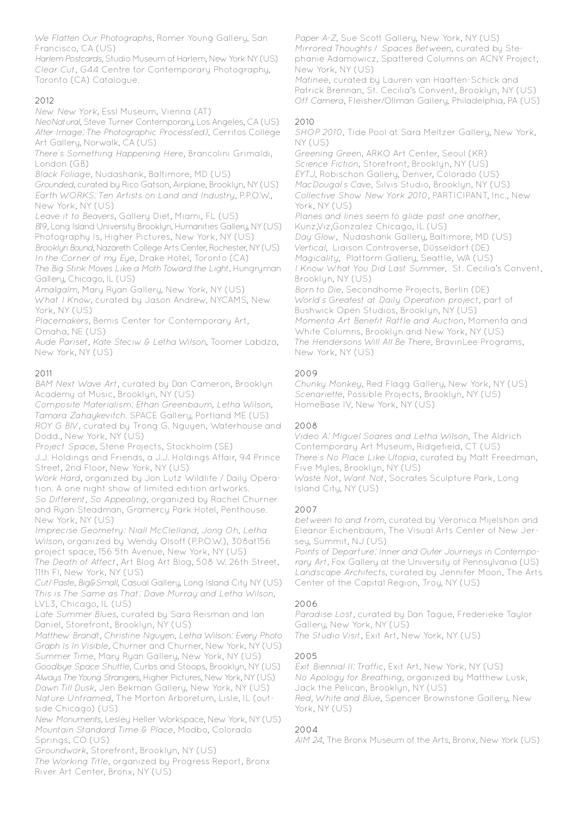We Flatten Our Photographs, Romer Young Gallery, San Francisco, CA (US)

Harlem Postcards, Studio Museum of Harlem, New York NY (US) Clear Cut, G44 Centre for Contemporary Photography, Toronto (CA) Catalogue.

## 2012

New New York, Essl Museum, Vienna (AT)

NeoNatural, Steve Turner Contemporary, Los Angeles, CA (US) After Image: The Photographic Process(ed), Cerritos College Art Gallery, Norwalk, CA (US)

There's Something Happening Here, Brancolini Grimaldi, London (GB)

Black Foliage, Nudashank, Baltimore, MD (US)

Grounded, curated by Rico Gatson, Airplane, Brooklyn, NY (US) Earth WORKS: Ten Artists on Land and Industry, P.P.O.W., New York, NY (US)

Leave it to Beavers, Gallery Diet, Miami, FL (US)

B19, Long Island University Brooklyn, Humanities Gallery, NY (US) Photography Is, Higher Pictures, New York, NY (US)

Brooklyn Bound, Nazareth College Arts Center, Rochester, NY (US) In the Corner of my Eye, Drake Hotel, Toronto (CA)

The Big Stink Moves Like a Moth Toward the Light, Hungryman Gallery, Chicago, IL (US)

Amalgalm, Mary Ryan Gallery, New York, NY (US)

What I Know, curated by Jason Andrew, NYCAMS, New York, NY (US)

Placemakers, Bemis Center for Contemporary Art, Omaha, NE (US)

Aude Pariset, Kate Steciw & Letha Wilson, Toomer Labdza, New York, NY (US)

## 2011

BAM Next Wave Art, curated by Dan Cameron, Brooklyn Academy of Music, Brooklyn, NY (US)

Composite Materialism: Ethan Greenbaum, Letha Wilson, Tamara Zahaykevitch. SPACE Gallery, Portland ME (US) ROY G BIV, curated by Trong G. Nguyen, Waterhouse and Dodd., New York, NY (US)

Project Space, Stene Projects, Stockholm (SE)

J.J. Holdings and Friends, a J.J. Holdings Affair, 94 Prince Street, 2nd Floor, New York, NY (US)

Work Hard, organized by Jon Lutz Wildlife / Daily Operation. A one night show of limited edition artworks.

So Different, So Appealing, organized by Rachel Churner and Ryan Steadman, Gramercy Park Hotel, Penthouse. New York, NY (US)

Imprecise Geometry: Niall McClelland, Jong Oh, Letha Wilson, organized by Wendy Olsoff (P.P.O.W.), 308at156 project space, 156 5th Avenue, New York, NY (US) The Death of Affect, Art Blog Art Blog, 508 W. 26th Street, 11th Fl, New York, NY (US)

Cut/Paste, Big&Small, Casual Gallery, Long Island City NY (US) This is The Same as That: Dave Murray and Letha Wilson, LVL3, Chicago, IL (US)

Late Summer Blues, curated by Sara Reisman and Ian Daniel, Storefront, Brooklyn, NY (US)

Matthew Brandt, Christine Nguyen, Letha Wilson: Every Photo Graph Is In Visible, Churner and Churner, New York, NY (US) Summer Time, Mary Ryan Gallery, New York, NY (US) Goodbye Space Shuttle, Curbs and Stoops, Brooklyn, NY (US) Always The Young Strangers, Higher Pictures, New York, NY (US) Dawn Till Dusk, Jen Bekman Gallery, New York, NY (US) Nature Unframed, The Morton Arboretum, Lisle, IL (outside Chicago) (US)

New Monuments, Lesley Heller Workspace, New York, NY (US) Mountain Standard Time & Place, Modbo, Colorado Springs, CO (US)

Groundwork, Storefront, Brooklyn, NY (US)

The Working Title, organized by Progress Report, Bronx River Art Center, Bronx, NY (US)

Paper A-Z, Sue Scott Gallery, New York, NY (US) Mirrored Thoughts / Spaces Between, curated by Stephanie Adamowicz, Spattered Columns an ACNY Project, New York, NY (US)

Matinee, curated by Lauren van Haaften-Schick and Patrick Brennan, St. Cecilia's Convent, Brooklyn, NY (US) Off Camera, Fleisher/Ollman Gallery, Philadelphia, PA (US)

## 2010

SHOP 2010, Tide Pool at Sara Meltzer Gallery, New York, NY (US)

Greening Green, ARKO Art Center, Seoul (KR) Science Fiction, Storefront, Brooklyn, NY (US) EYTJ, Robischon Gallery, Denver, Colorado (US) MacDougal's Cave, Silvis Studio, Brooklyn, NY (US) Collective Show New York 2010, PARTICIPANT, Inc., New York, NY (US) Planes and lines seem to glide past one another, Kunz,Viz,Gonzalez Chicago, IL (US) Day Glow, Nudashank Gallery, Baltimore, MD (US) Vertical, Liaison Controverse, Düsseldorf (DE) Magicality, Platform Gallery, Seattle, WA (US) I Know What You Did Last Summer, St. Cecilia's Convent, Brooklyn, NY (US) Born to Die, Secondhome Projects, Berlin (DE) World's Greatest at Daily Operation project, part of Bushwick Open Studios, Brooklyn, NY (US) Momenta Art Benefit Raffle and Auction, Momenta and White Columns, Brooklyn and New York, NY (US) The Hendersons Will All Be There, BravinLee Programs, New York, NY (US)

## 2009

Chunky Monkey, Red Flagg Gallery, New York, NY (US) Scenariette, Possible Projects, Brooklyn, NY (US) HomeBase IV, New York, NY (US)

## 2008

Video A: Miguel Soares and Letha Wilson, The Aldrich Contemporary Art Museum, Ridgefield, CT (US) There's No Place Like Utopia, curated by Matt Freedman, Five Myles, Brooklyn, NY (US) Waste Not, Want Not, Socrates Sculpture Park, Long Island City, NY (US)

## 2007

between to and from, curated by Veronica Mijelshon and Eleanor Eichenbaum, The Visual Arts Center of New Jersey, Summit, NJ (US)

Points of Departure: Inner and Outer Journeys in Contemporary Art, Fox Gallery at the University of Pennsylvania (US) Landscape Architects, curated by Jennifer Moon, The Arts Center of the Capital Region, Troy, NY (US)

## 2006

Paradise Lost, curated by Dan Tague, Frederieke Taylor Gallery, New York, NY (US) The Studio Visit, Exit Art, New York, NY (US)

## 2005

Exit Biennial II: Traffic, Exit Art, New York, NY (US) No Apology for Breathing, organized by Matthew Lusk, Jack the Pelican, Brooklyn, NY (US) Red, White and Blue, Spencer Brownstone Gallery, New York, NY (US)

## 2004

AIM 24, The Bronx Museum of the Arts, Bronx, New York (US)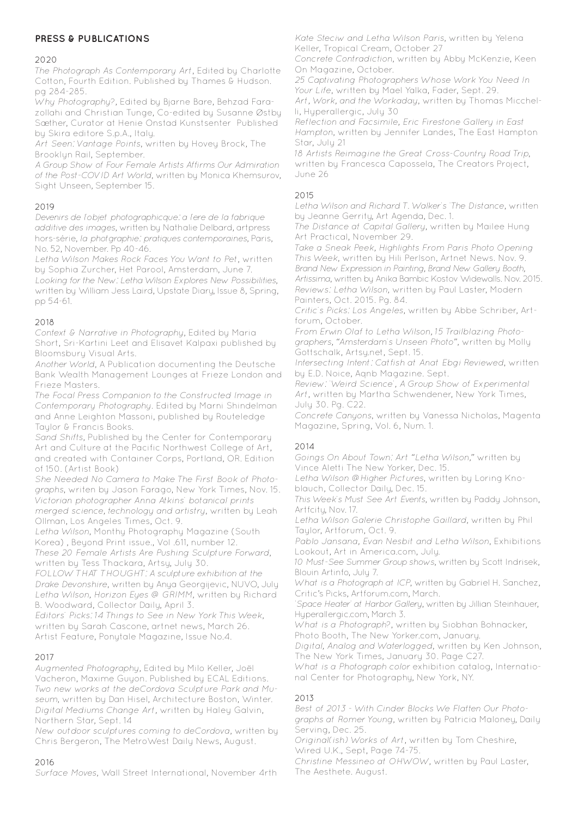# **PRESS & PUBLICATIONS**

#### 2020

The Photograph As Contemporary Art, Edited by Charlotte Cotton, Fourth Edition. Published by Thames & Hudson. pg 284-285.

Why Photography?, Edited by Bjarne Bare, Behzad Farazollahi and Christian Tunge, Co-edited by Susanne Østby Sæther, Curator at Henie Onstad Kunstsenter Published by Skira editore S.p.A., Italy.

Art Seen: Vantage Points, written by Hovey Brock, The Brooklyn Rail, September.

A Group Show of Four Female Artists Affirms Our Admiration of the Post-COVID Art World, written by Monica Khemsurov, Sight Unseen, September 15.

## 2019

Devenirs de l'objet photographicque: a l'ere de la fabrique additive des images, written by Nathalie Delbard, artpress hors-série, la photgraphie: pratiques contemporaines, Paris, No. 52, November. Pp 40-46.

Letha Wilson Makes Rock Faces You Want to Pet, written by Sophia Zurcher, Het Parool, Amsterdam, June 7. Looking for the New: Letha Wilson Explores New Possibilities, written by William Jess Laird, Upstate Diary, Issue 8, Spring, pp 54-61.

## 2018

Context & Narrative in Photography, Edited by Maria Short, Sri-Kartini Leet and Elisavet Kalpaxi published by Bloomsbury Visual Arts.

Another World, A Publication documenting the Deutsche Bank Wealth Management Lounges at Frieze London and Frieze Masters.

The Focal Press Companion to the Constructed Image in Contemporary Photography. Edited by Marni Shindelman and Anne Leighton Massoni, published by Routeledge Taylor & Francis Books.

Sand Shifts, Published by the Center for Contemporary Art and Culture at the Pacific Northwest College of Art, and created with Container Corps, Portland, OR. Edition of 150. (Artist Book)

She Needed No Camera to Make The First Book of Photographs, writen by Jason Farago, New York Times, Nov. 15. Victorian photographer Anna Atkins' botanical prints merged science, technology and artistry, written by Leah Ollman, Los Angeles Times, Oct. 9.

Letha Wilson, Monthy Photography Magazine (South Korea) , Beyond Print issue., Vol .611, number 12. These 20 Female Artists Are Pushing Sculpture Forward,

written by Tess Thackara, Artsy, July 30. FOLLOW THAT THOUGHT: A sculpture exhibition at the Drake Devonshire, written by Anya Georgijevic, NUVO, July

Letha Wilson, Horizon Eyes @ GRIMM, written by Richard B. Woodward, Collector Daily, April 3.

Editors' Picks: 14 Things to See in New York This Week, written by Sarah Cascone, artnet news, March 26. Artist Feature, Ponytale Magazine, Issue No.4.

## 2017

Augmented Photography, Edited by Milo Keller, Joël Vacheron, Maxime Guyon. Published by ECAL Editions. Two new works at the deCordova Sculpture Park and Museum, written by Dan Hisel, Architecture Boston, Winter. Digital Mediums Change Art, written by Haley Galvin, Northern Star, Sept. 14

New outdoor sculptures coming to deCordova, written by Chris Bergeron, The MetroWest Daily News, August.

## 2016

Surface Moves, Wall Street International, November 4rth

Kate Steciw and Letha Wilson Paris, written by Yelena Keller, Tropical Cream, October 27

Concrete Contradiction, written by Abby McKenzie, Keen On Magazine, October.

25 Captivating Photographers Whose Work You Need In Your Life, written by Mael Yalka, Fader, Sept. 29.

Art, Work, and the Workaday, written by Thomas Micchelli, Hyperallergic, July 30

Reflection and Facsimile, Eric Firestone Gallery in East Hampton, written by Jennifer Landes, The East Hampton Star, July 21

18 Artists Reimagine the Great Cross-Country Road Trip, written by Francesca Capossela, The Creators Project, June 26

## 2015

Letha Wilson and Richard T. Walker's 'The Distance, written by Jeanne Gerrity, Art Agenda, Dec. 1.

The Distance at Capital Gallery, written by Mailee Hung Art Practical, November 29.

Take a Sneak Peek, Highlights From Paris Photo Opening This Week, written by Hili Perlson, Artnet News. Nov. 9. Brand New Expression in Painting, Brand New Gallery Booth, Artissima, written by Anika Bambic Kostov Widewalls. Nov. 2015. Reviews: Letha Wilson, written by Paul Laster, Modern Painters, Oct. 2015. Pg. 84.

Critic's Picks: Los Angeles, written by Abbe Schriber, Artforum, October.

From Erwin Olaf to Letha Wilson, 15 Trailblazing Photographers, "Amsterdam's Unseen Photo", written by Molly Gottschalk, Artsy.net, Sept. 15.

Intersecting Intent: Catfish at Anat Ebgi Reviewed, written by E.D. Noice, Aqnb Magazine. Sept.

Review: 'Weird Science', A Group Show of Experimental Art, written by Martha Schwendener, New York Times, July 30. Pg. C22.

Concrete Canyons, written by Vanessa Nicholas, Magenta Magazine, Spring, Vol. 6, Num. 1.

## 2014

Goings On About Town: Art "Letha Wilson," written by Vince Aletti The New Yorker, Dec. 15.

Letha Wilson @Higher Pictures, written by Loring Knoblauch, Collector Daily, Dec. 15.

This Week's Must See Art Events, written by Paddy Johnson, Artfcity, Nov. 17.

Letha Wilson Galerie Christophe Gaillard, written by Phil Taylor, Artforum, Oct. 9.

Pablo Jansana, Evan Nesbit and Letha Wilson, Exhibitions Lookout, Art in America.com, July.

10 Must-See Summer Group shows, written by Scott Indrisek, Blouin Artinfo, July 7.

What is a Photograph at ICP, written by Gabriel H. Sanchez, Critic's Picks, Artforum.com, March.

'Space Heater' at Harbor Gallery, written by Jillian Steinhauer, Hyperallergic.com, March 3.

What is a Photograph?, written by Siobhan Bohnacker, Photo Booth, The New Yorker.com, January.

Digital, Analog and Waterlogged, written by Ken Johnson, The New York Times, January 30. Page C27.

What is a Photograph color exhibition catalog, International Center for Photography, New York, NY.

## 2013

Best of 2013 - With Cinder Blocks We Flatten Our Photographs at Romer Young, written by Patricia Maloney, Daily Serving, Dec. 25.

Original(ish) Works of Art, written by Tom Cheshire, Wired U.K., Sept, Page 74-75.

Christine Messineo at OHWOW, written by Paul Laster, The Aesthete. August.